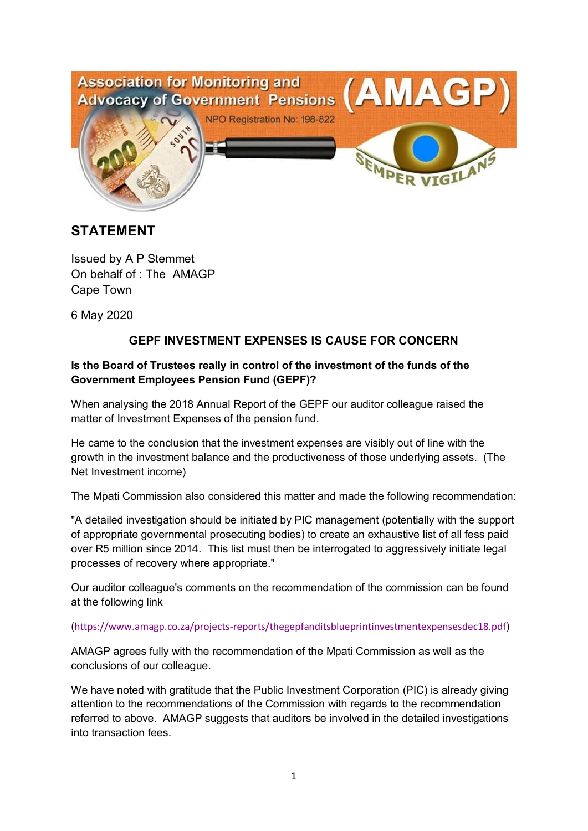

# **STATEMENT**

Issued by A P Stemmet On behalf of : The AMAGP Cape Town

6 May 2020

## **GEPF INVESTMENT EXPENSES IS CAUSE FOR CONCERN**

## **Is the Board of Trustees really in control of the investment of the funds of the Government Employees Pension Fund (GEPF)?**

When analysing the 2018 Annual Report of the GEPF our auditor colleague raised the matter of Investment Expenses of the pension fund.

He came to the conclusion that the investment expenses are visibly out of line with the growth in the investment balance and the productiveness of those underlying assets. (The Net Investment income)

The Mpati Commission also considered this matter and made the following recommendation:

"A detailed investigation should be initiated by PIC management (potentially with the support of appropriate governmental prosecuting bodies) to create an exhaustive list of all fess paid over R5 million since 2014. This list must then be interrogated to aggressively initiate legal processes of recovery where appropriate."

Our auditor colleague's comments on the recommendation of the commission can be found at the following link

#### (https://www.amagp.co.za/projects-reports/thegepfanditsblueprintinvestmentexpensesdec18.pdf)

AMAGP agrees fully with the recommendation of the Mpati Commission as well as the conclusions of our colleague.

We have noted with gratitude that the Public Investment Corporation (PIC) is already giving attention to the recommendations of the Commission with regards to the recommendation referred to above. AMAGP suggests that auditors be involved in the detailed investigations into transaction fees.